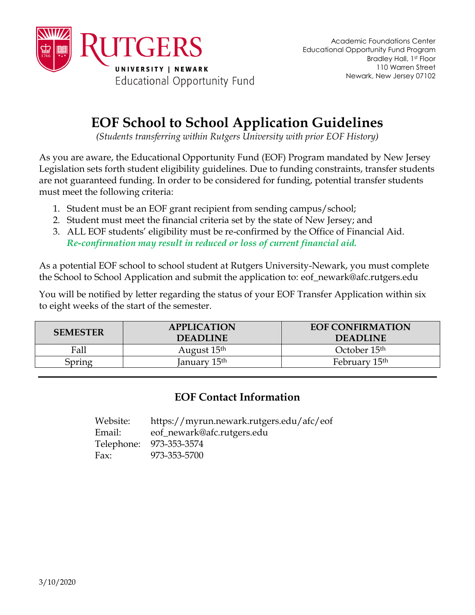

## **EOF School to School Application Guidelines**

*(Students transferring within Rutgers University with prior EOF History)*

As you are aware, the Educational Opportunity Fund (EOF) Program mandated by New Jersey Legislation sets forth student eligibility guidelines. Due to funding constraints, transfer students are not guaranteed funding. In order to be considered for funding, potential transfer students must meet the following criteria:

- 1. Student must be an EOF grant recipient from sending campus/school;
- 2. Student must meet the financial criteria set by the state of New Jersey; and
- 3. ALL EOF students' eligibility must be re-confirmed by the Office of Financial Aid. *Re-confirmation may result in reduced or loss of current financial aid.*

As a potential EOF school to school student at Rutgers University-Newark, you must complete the School to School Application and submit the application to: eof\_newark@afc.rutgers.edu

You will be notified by letter regarding the status of your EOF Transfer Application within six to eight weeks of the start of the semester.

| <b>SEMESTER</b> | <b>APPLICATION</b><br><b>DEADLINE</b> | <b>EOF CONFIRMATION</b><br><b>DEADLINE</b> |
|-----------------|---------------------------------------|--------------------------------------------|
| Fall            | August 15 <sup>th</sup>               | October 15 <sup>th</sup>                   |
| Spring          | January 15th                          | February 15 <sup>th</sup>                  |

## **EOF Contact Information**

| Website: | https://myrun.newark.rutgers.edu/afc/eof |
|----------|------------------------------------------|
| Email:   | eof_newark@afc.rutgers.edu               |
|          | Telephone: 973-353-3574                  |
| Fax:     | 973-353-5700                             |